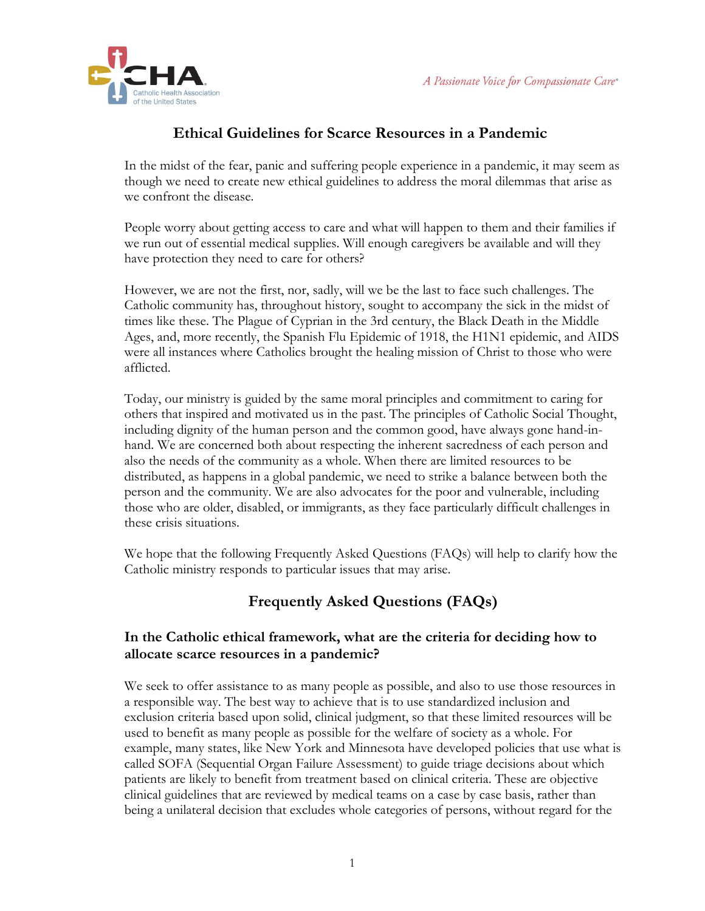

# **Ethical Guidelines for Scarce Resources in a Pandemic**

In the midst of the fear, panic and suffering people experience in a pandemic, it may seem as though we need to create new ethical guidelines to address the moral dilemmas that arise as we confront the disease.

People worry about getting access to care and what will happen to them and their families if we run out of essential medical supplies. Will enough caregivers be available and will they have protection they need to care for others?

However, we are not the first, nor, sadly, will we be the last to face such challenges. The Catholic community has, throughout history, sought to accompany the sick in the midst of times like these. The Plague of Cyprian in the 3rd century, the Black Death in the Middle Ages, and, more recently, the Spanish Flu Epidemic of 1918, the H1N1 epidemic, and AIDS were all instances where Catholics brought the healing mission of Christ to those who were afflicted.

Today, our ministry is guided by the same moral principles and commitment to caring for others that inspired and motivated us in the past. The principles of Catholic Social Thought, including dignity of the human person and the common good, have always gone hand-inhand. We are concerned both about respecting the inherent sacredness of each person and also the needs of the community as a whole. When there are limited resources to be distributed, as happens in a global pandemic, we need to strike a balance between both the person and the community. We are also advocates for the poor and vulnerable, including those who are older, disabled, or immigrants, as they face particularly difficult challenges in these crisis situations.

We hope that the following Frequently Asked Questions (FAQs) will help to clarify how the Catholic ministry responds to particular issues that may arise.

# **Frequently Asked Questions (FAQs)**

### **In the Catholic ethical framework, what are the criteria for deciding how to allocate scarce resources in a pandemic?**

We seek to offer assistance to as many people as possible, and also to use those resources in a responsible way. The best way to achieve that is to use standardized inclusion and exclusion criteria based upon solid, clinical judgment, so that these limited resources will be used to benefit as many people as possible for the welfare of society as a whole. For example, many states, like New York and Minnesota have developed policies that use what is called SOFA (Sequential Organ Failure Assessment) to guide triage decisions about which patients are likely to benefit from treatment based on clinical criteria. These are objective clinical guidelines that are reviewed by medical teams on a case by case basis, rather than being a unilateral decision that excludes whole categories of persons, without regard for the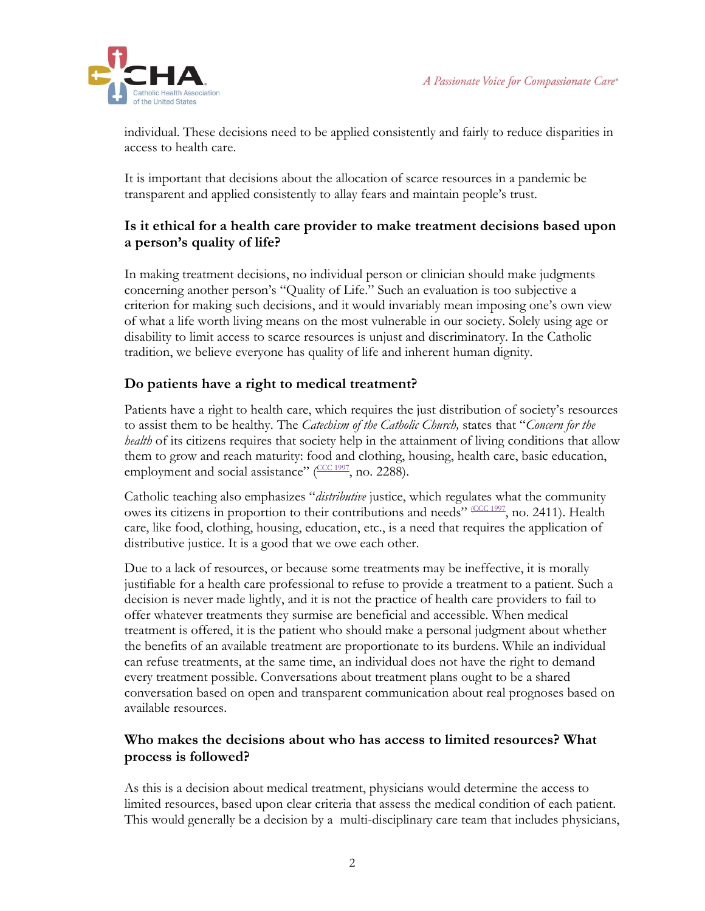

individual. These decisions need to be applied consistently and fairly to reduce disparities in access to health care.

It is important that decisions about the allocation of scarce resources in a pandemic be transparent and applied consistently to allay fears and maintain people's trust.

### **Is it ethical for a health care provider to make treatment decisions based upon a person's quality of life?**

In making treatment decisions, no individual person or clinician should make judgments concerning another person's "Quality of Life." Such an evaluation is too subjective a criterion for making such decisions, and it would invariably mean imposing one's own view of what a life worth living means on the most vulnerable in our society. Solely using age or disability to limit access to scarce resources is unjust and discriminatory. In the Catholic tradition, we believe everyone has quality of life and inherent human dignity.

## **Do patients have a right to medical treatment?**

Patients have a right to health care, which requires the just distribution of society's resources to assist them to be healthy. The *Catechism of the Catholic Church,* states that "*Concern for the health* of its citizens requires that society help in the attainment of living conditions that allow them to grow and reach maturity: food and clothing, housing, health care, basic education, employment and social assistance"  $(\frac{\text{CCC } 1997}{\text{C}}$ , no. 2288).

Catholic teaching also emphasizes "*distributive* justice, which regulates what the community owes its citizens in proportion to their contributions and needs" [\(CCC 1997](https://www.ncbi.nlm.nih.gov/pmc/articles/PMC5375597/#C8), no. 2411). Health care, like food, clothing, housing, education, etc., is a need that requires the application of distributive justice. It is a good that we owe each other.

Due to a lack of resources, or because some treatments may be ineffective, it is morally justifiable for a health care professional to refuse to provide a treatment to a patient. Such a decision is never made lightly, and it is not the practice of health care providers to fail to offer whatever treatments they surmise are beneficial and accessible. When medical treatment is offered, it is the patient who should make a personal judgment about whether the benefits of an available treatment are proportionate to its burdens. While an individual can refuse treatments, at the same time, an individual does not have the right to demand every treatment possible. Conversations about treatment plans ought to be a shared conversation based on open and transparent communication about real prognoses based on available resources.

### **Who makes the decisions about who has access to limited resources? What process is followed?**

As this is a decision about medical treatment, physicians would determine the access to limited resources, based upon clear criteria that assess the medical condition of each patient. This would generally be a decision by a multi-disciplinary care team that includes physicians,